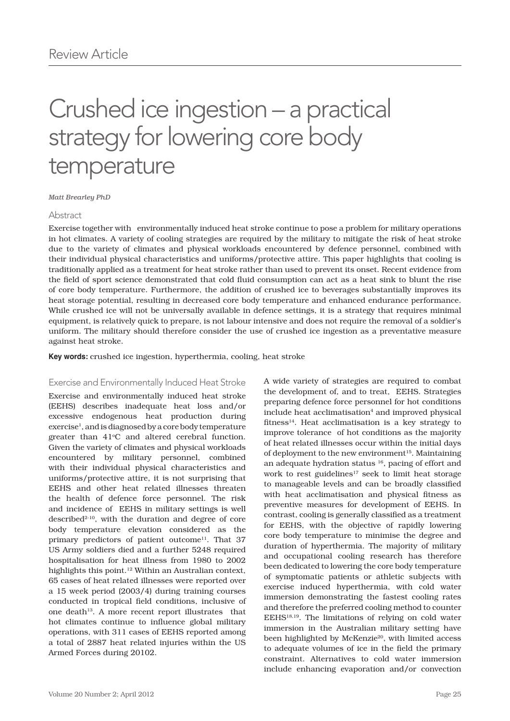# Crushed ice ingestion – a practical strategy for lowering core body temperature

#### *Matt Brearley PhD*

## Abstract

Exercise together with environmentally induced heat stroke continue to pose a problem for military operations in hot climates. A variety of cooling strategies are required by the military to mitigate the risk of heat stroke due to the variety of climates and physical workloads encountered by defence personnel, combined with their individual physical characteristics and uniforms/protective attire. This paper highlights that cooling is traditionally applied as a treatment for heat stroke rather than used to prevent its onset. Recent evidence from the field of sport science demonstrated that cold fluid consumption can act as a heat sink to blunt the rise of core body temperature. Furthermore, the addition of crushed ice to beverages substantially improves its heat storage potential, resulting in decreased core body temperature and enhanced endurance performance. While crushed ice will not be universally available in defence settings, it is a strategy that requires minimal equipment, is relatively quick to prepare, is not labour intensive and does not require the removal of a soldier's uniform. The military should therefore consider the use of crushed ice ingestion as a preventative measure against heat stroke.

**Key words:** crushed ice ingestion, hyperthermia, cooling, heat stroke

## Exercise and Environmentally Induced Heat Stroke

Exercise and environmentally induced heat stroke (EEHS) describes inadequate heat loss and/or excessive endogenous heat production during exercise1, and is diagnosed by a core body temperature greater than  $41^{\circ}$ C and altered cerebral function. Given the variety of climates and physical workloads encountered by military personnel, combined with their individual physical characteristics and uniforms/protective attire, it is not surprising that EEHS and other heat related illnesses threaten the health of defence force personnel. The risk and incidence of EEHS in military settings is well described $2-10$ , with the duration and degree of core body temperature elevation considered as the primary predictors of patient outcome<sup>11</sup>. That 37 US Army soldiers died and a further 5248 required hospitalisation for heat illness from 1980 to 2002 highlights this point.<sup>12</sup> Within an Australian context, 65 cases of heat related illnesses were reported over a 15 week period (2003/4) during training courses conducted in tropical field conditions, inclusive of one death<sup>13</sup>. A more recent report illustrates that hot climates continue to influence global military operations, with 311 cases of EEHS reported among a total of 2887 heat related injuries within the US Armed Forces during 20102.

the development of, and to treat, EEHS. Strategies preparing defence force personnel for hot conditions  $include$  heat acclimatisation $4$  and improved physical fitness $14$ . Heat acclimatisation is a key strategy to improve tolerance of hot conditions as the majority of heat related illnesses occur within the initial days of deployment to the new environment $15$ . Maintaining an adequate hydration status 16, pacing of effort and work to rest guidelines<sup>17</sup> seek to limit heat storage to manageable levels and can be broadly classified with heat acclimatisation and physical fitness as preventive measures for development of EEHS. In contrast, cooling is generally classified as a treatment for EEHS, with the objective of rapidly lowering core body temperature to minimise the degree and duration of hyperthermia. The majority of military and occupational cooling research has therefore been dedicated to lowering the core body temperature of symptomatic patients or athletic subjects with exercise induced hyperthermia, with cold water immersion demonstrating the fastest cooling rates and therefore the preferred cooling method to counter EEHS18,19. The limitations of relying on cold water immersion in the Australian military setting have been highlighted by McKenzie<sup>20</sup>, with limited access to adequate volumes of ice in the field the primary constraint. Alternatives to cold water immersion include enhancing evaporation and/or convection

A wide variety of strategies are required to combat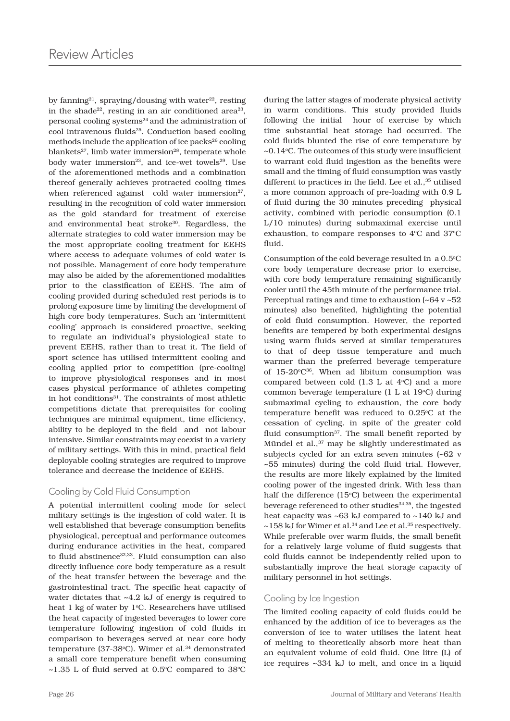by fanning<sup>21</sup>, spraying/dousing with water<sup>22</sup>, resting in the shade<sup>22</sup>, resting in an air conditioned area<sup>23</sup>, personal cooling systems<sup>24</sup> and the administration of cool intravenous fluids<sup>25</sup>. Conduction based cooling methods include the application of ice packs $^{26}$  cooling blankets<sup>27</sup>, limb water immersion<sup>28</sup>, temperate whole body water immersion<sup>23</sup>, and ice-wet towels<sup>29</sup>. Use of the aforementioned methods and a combination thereof generally achieves protracted cooling times when referenced against cold water immersion $27$ , resulting in the recognition of cold water immersion as the gold standard for treatment of exercise and environmental heat stroke<sup>30</sup>. Regardless, the alternate strategies to cold water immersion may be the most appropriate cooling treatment for EEHS where access to adequate volumes of cold water is not possible. Management of core body temperature may also be aided by the aforementioned modalities prior to the classification of EEHS. The aim of cooling provided during scheduled rest periods is to prolong exposure time by limiting the development of high core body temperatures. Such an 'intermittent cooling' approach is considered proactive, seeking to regulate an individual's physiological state to prevent EEHS, rather than to treat it. The field of sport science has utilised intermittent cooling and cooling applied prior to competition (pre-cooling) to improve physiological responses and in most cases physical performance of athletes competing in hot conditions<sup>31</sup>. The constraints of most athletic competitions dictate that prerequisites for cooling techniques are minimal equipment, time efficiency, ability to be deployed in the field and not labour intensive. Similar constraints may coexist in a variety of military settings. With this in mind, practical field deployable cooling strategies are required to improve tolerance and decrease the incidence of EEHS.

# Cooling by Cold Fluid Consumption

A potential intermittent cooling mode for select military settings is the ingestion of cold water. It is well established that beverage consumption benefits physiological, perceptual and performance outcomes during endurance activities in the heat, compared to fluid abstinence<sup>32,33</sup>. Fluid consumption can also directly influence core body temperature as a result of the heat transfer between the beverage and the gastrointestinal tract. The specific heat capacity of water dictates that ~4.2 kJ of energy is required to heat 1 kg of water by 1°C. Researchers have utilised the heat capacity of ingested beverages to lower core temperature following ingestion of cold fluids in comparison to beverages served at near core body temperature ( $37-38$ °C). Wimer et al.<sup>34</sup> demonstrated a small core temperature benefit when consuming  $\sim$ 1.35 L of fluid served at 0.5°C compared to 38°C during the latter stages of moderate physical activity in warm conditions. This study provided fluids following the initial hour of exercise by which time substantial heat storage had occurred. The cold fluids blunted the rise of core temperature by ~0.14°C. The outcomes of this study were insufficient to warrant cold fluid ingestion as the benefits were small and the timing of fluid consumption was vastly different to practices in the field. Lee et al., 35 utilised a more common approach of pre-loading with 0.9 L of fluid during the 30 minutes preceding physical activity, combined with periodic consumption (0.1 L/10 minutes) during submaximal exercise until exhaustion, to compare responses to  $4^{\circ}$ C and  $37^{\circ}$ C fluid.

Consumption of the cold beverage resulted in  $a\,0.5^{\circ}$ C core body temperature decrease prior to exercise, with core body temperature remaining significantly cooler until the 45th minute of the performance trial. Perceptual ratings and time to exhaustion  $(-64 \text{ v } -52)$ minutes) also benefited, highlighting the potential of cold fluid consumption. However, the reported benefits are tempered by both experimental designs using warm fluids served at similar temperatures to that of deep tissue temperature and much warmer than the preferred beverage temperature of  $15{\text -}20^{\circ}C^{36}$ . When ad libitum consumption was compared between cold  $(1.3 L at 4°C)$  and a more common beverage temperature  $(1 L at 19^{\circ}C)$  during submaximal cycling to exhaustion, the core body temperature benefit was reduced to  $0.25^{\circ}$ C at the cessation of cycling. in spite of the greater cold fluid consumption<sup>37</sup>. The small benefit reported by Mündel et al.,<sup>37</sup> may be slightly underestimated as subjects cycled for an extra seven minutes (~62 v ~55 minutes) during the cold fluid trial. However, the results are more likely explained by the limited cooling power of the ingested drink. With less than half the difference  $(15^{\circ}C)$  between the experimental beverage referenced to other studies<sup>34,35</sup>, the ingested heat capacity was ~63 kJ compared to ~140 kJ and  $\sim$ 158 kJ for Wimer et al.<sup>34</sup> and Lee et al.<sup>35</sup> respectively. While preferable over warm fluids, the small benefit for a relatively large volume of fluid suggests that cold fluids cannot be independently relied upon to substantially improve the heat storage capacity of military personnel in hot settings.

## Cooling by Ice Ingestion

The limited cooling capacity of cold fluids could be enhanced by the addition of ice to beverages as the conversion of ice to water utilises the latent heat of melting to theoretically absorb more heat than an equivalent volume of cold fluid. One litre (L) of ice requires ~334 kJ to melt, and once in a liquid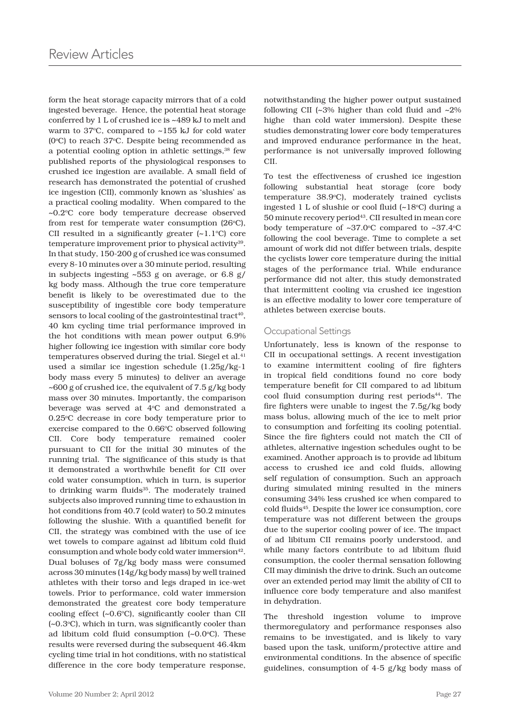form the heat storage capacity mirrors that of a cold ingested beverage. Hence, the potential heat storage conferred by 1 L of crushed ice is ~489 kJ to melt and warm to  $37^{\circ}$ C, compared to  $\sim$ 155 kJ for cold water ( $0^{\circ}$ C) to reach 37 $^{\circ}$ C. Despite being recommended as a potential cooling option in athletic settings,<sup>38</sup> few published reports of the physiological responses to crushed ice ingestion are available. A small field of research has demonstrated the potential of crushed ice ingestion (CII), commonly known as 'slushies' as a practical cooling modality. When compared to the ~0.2°C core body temperature decrease observed from rest for temperate water consumption  $(26^{\circ}C)$ , CII resulted in a significantly greater  $(\sim 1.1^{\circ}C)$  core temperature improvement prior to physical activity<sup>39</sup>. In that study, 150-200 g of crushed ice was consumed every 8-10 minutes over a 30 minute period, resulting in subjects ingesting ~553 g on average, or 6.8 g/ kg body mass. Although the true core temperature benefit is likely to be overestimated due to the susceptibility of ingestible core body temperature sensors to local cooling of the gastrointestinal tract<sup>40</sup>, 40 km cycling time trial performance improved in the hot conditions with mean power output 6.9% higher following ice ingestion with similar core body temperatures observed during the trial. Siegel et al.<sup>41</sup> used a similar ice ingestion schedule (1.25g/kg-1 body mass every 5 minutes) to deliver an average ~600 g of crushed ice, the equivalent of 7.5 g/kg body mass over 30 minutes. Importantly, the comparison beverage was served at 4°C and demonstrated a 0.25 °C decrease in core body temperature prior to exercise compared to the 0.66°C observed following CII. Core body temperature remained cooler pursuant to CII for the initial 30 minutes of the running trial. The significance of this study is that it demonstrated a worthwhile benefit for CII over cold water consumption, which in turn, is superior to drinking warm fluids<sup>35</sup>. The moderately trained subjects also improved running time to exhaustion in hot conditions from 40.7 (cold water) to 50.2 minutes following the slushie. With a quantified benefit for CII, the strategy was combined with the use of ice wet towels to compare against ad libitum cold fluid consumption and whole body cold water immersion<sup>42</sup>. Dual boluses of 7g/kg body mass were consumed across 30 minutes (14g/kg body mass) by well trained athletes with their torso and legs draped in ice-wet towels. Prior to performance, cold water immersion demonstrated the greatest core body temperature cooling effect  $(-0.6^{\circ}C)$ , significantly cooler than CII (~0.3o C), which in turn, was significantly cooler than ad libitum cold fluid consumption (~0.0°C). These results were reversed during the subsequent 46.4km cycling time trial in hot conditions, with no statistical difference in the core body temperature response,

notwithstanding the higher power output sustained following CII ( $\sim$ 3% higher than cold fluid and  $\sim$ 2% highe than cold water immersion). Despite these studies demonstrating lower core body temperatures and improved endurance performance in the heat, performance is not universally improved following CII.

To test the effectiveness of crushed ice ingestion following substantial heat storage (core body temperature 38.9°C), moderately trained cyclists ingested  $1 L$  of slushie or cool fluid  $(-18^{\circ}C)$  during a 50 minute recovery period<sup>43</sup>. CII resulted in mean core body temperature of  $\sim 37.0^{\circ}$ C compared to  $\sim 37.4^{\circ}$ C following the cool beverage. Time to complete a set amount of work did not differ between trials, despite the cyclists lower core temperature during the initial stages of the performance trial. While endurance performance did not alter, this study demonstrated that intermittent cooling via crushed ice ingestion is an effective modality to lower core temperature of athletes between exercise bouts.

## Occupational Settings

Unfortunately, less is known of the response to CII in occupational settings. A recent investigation to examine intermittent cooling of fire fighters in tropical field conditions found no core body temperature benefit for CII compared to ad libitum cool fluid consumption during rest periods<sup>44</sup>. The fire fighters were unable to ingest the 7.5g/kg body mass bolus, allowing much of the ice to melt prior to consumption and forfeiting its cooling potential. Since the fire fighters could not match the CII of athletes, alternative ingestion schedules ought to be examined. Another approach is to provide ad libitum access to crushed ice and cold fluids, allowing self regulation of consumption. Such an approach during simulated mining resulted in the miners consuming 34% less crushed ice when compared to cold fluids45. Despite the lower ice consumption, core temperature was not different between the groups due to the superior cooling power of ice. The impact of ad libitum CII remains poorly understood, and while many factors contribute to ad libitum fluid consumption, the cooler thermal sensation following CII may diminish the drive to drink. Such an outcome over an extended period may limit the ability of CII to influence core body temperature and also manifest in dehydration.

The threshold ingestion volume to improve thermoregulatory and performance responses also remains to be investigated, and is likely to vary based upon the task, uniform/protective attire and environmental conditions. In the absence of specific guidelines, consumption of 4-5 g/kg body mass of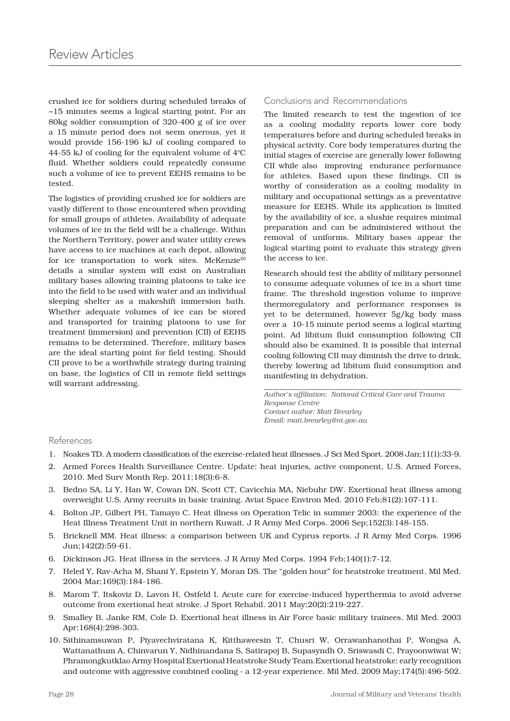crushed ice for soldiers during scheduled breaks of ~15 minutes seems a logical starting point. For an 80kg soldier consumption of 320-400 g of ice over a 15 minute period does not seem onerous, yet it would provide 156-196 kJ of cooling compared to 44-55 kJ of cooling for the equivalent volume of  $4^{\circ}C$ fluid. Whether soldiers could repeatedly consume such a volume of ice to prevent EEHS remains to be tested.

The logistics of providing crushed ice for soldiers are vastly different to those encountered when providing for small groups of athletes. Availability of adequate volumes of ice in the field will be a challenge. Within the Northern Territory, power and water utility crews have access to ice machines at each depot, allowing for ice transportation to work sites. McKenzie<sup>20</sup> details a similar system will exist on Australian military bases allowing training platoons to take ice into the field to be used with water and an individual sleeping shelter as a makeshift immersion bath. Whether adequate volumes of ice can be stored and transported for training platoons to use for treatment (immersion) and prevention (CII) of EEHS remains to be determined. Therefore, military bases are the ideal starting point for field testing. Should CII prove to be a worthwhile strategy during training on base, the logistics of CII in remote field settings will warrant addressing.

# Conclusions and Recommendations

The limited research to test the ingestion of ice as a cooling modality reports lower core body temperatures before and during scheduled breaks in physical activity. Core body temperatures during the initial stages of exercise are generally lower following CII while also improving endurance performance for athletes. Based upon these findings, CII is worthy of consideration as a cooling modality in military and occupational settings as a preventative measure for EEHS. While its application is limited by the availability of ice, a slushie requires minimal preparation and can be administered without the removal of uniforms. Military bases appear the logical starting point to evaluate this strategy given the access to ice.

Research should test the ability of military personnel to consume adequate volumes of ice in a short time frame. The threshold ingestion volume to improve thermoregulatory and performance responses is yet to be determined, however 5g/kg body mass over a 10-15 minute period seems a logical starting point. Ad libitum fluid consumption following CII should also be examined. It is possible that internal cooling following CII may diminish the drive to drink, thereby lowering ad libitum fluid consumption and manifesting in dehydration.

*Author's affiliation: National Critical Care and Trauma Response Centre Contact author: Matt Brearley Email: matt.brearley@nt.gov.au*

## References

- 1. Noakes TD. A modern classification of the exercise-related heat illnesses. J Sci Med Sport. 2008 Jan;11(1):33-9.
- 2. Armed Forces Health Surveillance Centre. Update: heat injuries, active component, U.S. Armed Forces, 2010. Med Surv Month Rep. 2011;18(3):6-8.
- 3. Bedno SA, Li Y, Han W, Cowan DN, Scott CT, Cavicchia MA, Niebuhr DW. Exertional heat illness among overweight U.S. Army recruits in basic training. Aviat Space Environ Med. 2010 Feb;81(2):107-111.
- 4. Bolton JP, Gilbert PH, Tamayo C. Heat illness on Operation Telic in summer 2003: the experience of the Heat Illness Treatment Unit in northern Kuwait. J R Army Med Corps. 2006 Sep;152(3):148-155.
- 5. Bricknell MM. Heat illness: a comparison between UK and Cyprus reports. J R Army Med Corps. 1996 Jun;142(2):59-61.
- 6. Dickinson JG. Heat illness in the services. J R Army Med Corps. 1994 Feb;140(1):7-12.
- 7. Heled Y, Rav-Acha M, Shani Y, Epstein Y, Moran DS. The "golden hour" for heatstroke treatment. Mil Med. 2004 Mar;169(3):184-186.
- 8. Marom T, Itskoviz D, Lavon H, Ostfeld I. Acute care for exercise-induced hyperthermia to avoid adverse outcome from exertional heat stroke. J Sport Rehabil. 2011 May;20(2):219-227.
- 9. Smalley B, Janke RM, Cole D. Exertional heat illness in Air Force basic military trainees. Mil Med. 2003 Apr;168(4):298-303.
- 10. Sithinamsuwan P, Piyavechviratana K, Kitthaweesin T, Chusri W, Orrawanhanothai P, Wongsa A, Wattanathum A, Chinvarun Y, Nidhinandana S, Satirapoj B, Supasyndh O, Sriswasdi C, Prayoonwiwat W; Phramongkutklao Army Hospital Exertional Heatstroke Study Team.Exertional heatstroke: early recognition and outcome with aggressive combined cooling - a 12-year experience. Mil Med. 2009 May;174(5):496-502.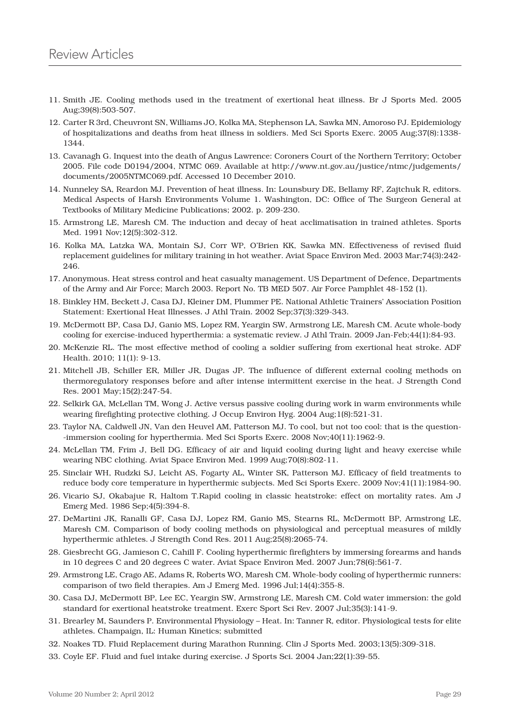- 11. Smith JE. Cooling methods used in the treatment of exertional heat illness. Br J Sports Med. 2005 Aug;39(8):503-507.
- 12. Carter R 3rd, Cheuvront SN, Williams JO, Kolka MA, Stephenson LA, Sawka MN, Amoroso PJ. Epidemiology of hospitalizations and deaths from heat illness in soldiers. Med Sci Sports Exerc. 2005 Aug;37(8):1338- 1344.
- 13. Cavanagh G. Inquest into the death of Angus Lawrence: Coroners Court of the Northern Territory; October 2005. File code D0194/2004, NTMC 069. Available at http://www.nt.gov.au/justice/ntmc/judgements/ documents/2005NTMC069.pdf. Accessed 10 December 2010.
- 14. Nunneley SA, Reardon MJ. Prevention of heat illness. In: Lounsbury DE, Bellamy RF, Zajtchuk R, editors. Medical Aspects of Harsh Environments Volume 1. Washington, DC: Office of The Surgeon General at Textbooks of Military Medicine Publications; 2002. p. 209-230.
- 15. Armstrong LE, Maresh CM. The induction and decay of heat acclimatisation in trained athletes. Sports Med. 1991 Nov;12(5):302-312.
- 16. Kolka MA, Latzka WA, Montain SJ, Corr WP, O'Brien KK, Sawka MN. Effectiveness of revised fluid replacement guidelines for military training in hot weather. Aviat Space Environ Med. 2003 Mar;74(3):242- 246.
- 17. Anonymous. Heat stress control and heat casualty management. US Department of Defence, Departments of the Army and Air Force; March 2003. Report No. TB MED 507. Air Force Pamphlet 48-152 (1).
- 18. Binkley HM, Beckett J, Casa DJ, Kleiner DM, Plummer PE. National Athletic Trainers' Association Position Statement: Exertional Heat Illnesses. J Athl Train. 2002 Sep;37(3):329-343.
- 19. McDermott BP, Casa DJ, Ganio MS, Lopez RM, Yeargin SW, Armstrong LE, Maresh CM. Acute whole-body cooling for exercise-induced hyperthermia: a systematic review. J Athl Train. 2009 Jan-Feb;44(1):84-93.
- 20. McKenzie RL. The most effective method of cooling a soldier suffering from exertional heat stroke. ADF Health. 2010; 11(1): 9-13.
- 21. Mitchell JB, Schiller ER, Miller JR, Dugas JP. The influence of different external cooling methods on thermoregulatory responses before and after intense intermittent exercise in the heat. J Strength Cond Res. 2001 May;15(2):247-54.
- 22. Selkirk GA, McLellan TM, Wong J. Active versus passive cooling during work in warm environments while wearing firefighting protective clothing. J Occup Environ Hyg. 2004 Aug;1(8):521-31.
- 23. Taylor NA, Caldwell JN, Van den Heuvel AM, Patterson MJ. To cool, but not too cool: that is the question- -immersion cooling for hyperthermia. Med Sci Sports Exerc. 2008 Nov;40(11):1962-9.
- 24. McLellan TM, Frim J, Bell DG. Efficacy of air and liquid cooling during light and heavy exercise while wearing NBC clothing. Aviat Space Environ Med. 1999 Aug;70(8):802-11.
- 25. Sinclair WH, Rudzki SJ, Leicht AS, Fogarty AL, Winter SK, Patterson MJ. Efficacy of field treatments to reduce body core temperature in hyperthermic subjects. Med Sci Sports Exerc. 2009 Nov;41(11):1984-90.
- 26. Vicario SJ, Okabajue R, Haltom T.Rapid cooling in classic heatstroke: effect on mortality rates. Am J Emerg Med. 1986 Sep;4(5):394-8.
- 27. DeMartini JK, Ranalli GF, Casa DJ, Lopez RM, Ganio MS, Stearns RL, McDermott BP, Armstrong LE, Maresh CM. Comparison of body cooling methods on physiological and perceptual measures of mildly hyperthermic athletes. J Strength Cond Res. 2011 Aug;25(8):2065-74.
- 28. Giesbrecht GG, Jamieson C, Cahill F. Cooling hyperthermic firefighters by immersing forearms and hands in 10 degrees C and 20 degrees C water. Aviat Space Environ Med. 2007 Jun;78(6):561-7.
- 29. Armstrong LE, Crago AE, Adams R, Roberts WO, Maresh CM. Whole-body cooling of hyperthermic runners: comparison of two field therapies. Am J Emerg Med. 1996 Jul;14(4):355-8.
- 30. Casa DJ, McDermott BP, Lee EC, Yeargin SW, Armstrong LE, Maresh CM. Cold water immersion: the gold standard for exertional heatstroke treatment. Exerc Sport Sci Rev. 2007 Jul;35(3):141-9.
- 31. Brearley M, Saunders P. Environmental Physiology Heat. In: Tanner R, editor. Physiological tests for elite athletes. Champaign, IL: Human Kinetics; submitted
- 32. Noakes TD. Fluid Replacement during Marathon Running. Clin J Sports Med. 2003;13(5):309-318.
- 33. Coyle EF. Fluid and fuel intake during exercise. J Sports Sci. 2004 Jan;22(1):39-55.